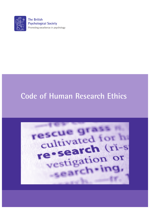

**The British Psychological Society** Promoting excellence in psychology

# **Code of Human Research Ethics**

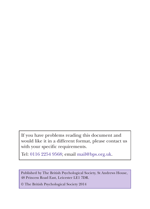If you have problems reading this document and would like it in a different format, please contact us with your specific requirements.

Tel: 0116 2254 9568; email mail@bps.org.uk.

Published by The British Psychological Society, St Andrews House, 48 Princess Road East, Leicester LE1 7DR.

© The British Psychological Society 2014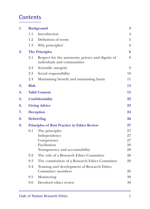### **Contents**

| 1. | <b>Background</b>                                   |                                                                                 |                |  |  |  |
|----|-----------------------------------------------------|---------------------------------------------------------------------------------|----------------|--|--|--|
|    | 1.1                                                 | Introduction                                                                    |                |  |  |  |
|    | 1.2                                                 | Definition of terms                                                             |                |  |  |  |
|    | 1.3                                                 | Why principles?                                                                 |                |  |  |  |
| 2. | <b>The Principles</b>                               |                                                                                 |                |  |  |  |
|    | 2.1                                                 | Respect for the autonomy, privacy and dignity of<br>individuals and communities |                |  |  |  |
|    | 2.2                                                 | Scientific integrity                                                            | $\overline{9}$ |  |  |  |
|    | 2.3                                                 | Social responsibility                                                           | 10             |  |  |  |
|    | 2.4                                                 | Maximising benefit and minimising harm                                          | 11             |  |  |  |
| 3. | <b>Risk</b>                                         |                                                                                 |                |  |  |  |
| 4. |                                                     | <b>Valid Consent</b>                                                            |                |  |  |  |
| 5. |                                                     | <b>Confidentiality</b>                                                          |                |  |  |  |
| 6. |                                                     | <b>Giving Advice</b>                                                            |                |  |  |  |
| 7. |                                                     | <b>Deception</b>                                                                |                |  |  |  |
| 8. |                                                     | <b>Debriefing</b>                                                               |                |  |  |  |
| 9. | <b>Principles of Best Practice in Ethics Review</b> |                                                                                 |                |  |  |  |
|    | 9.1                                                 | The principles                                                                  | 27             |  |  |  |
|    |                                                     | Independence                                                                    | 27             |  |  |  |
|    |                                                     | Competence                                                                      | 27             |  |  |  |
|    |                                                     | Facilitation                                                                    | 28             |  |  |  |
|    |                                                     | Transparency and accountability                                                 | 28             |  |  |  |
|    | 9.2                                                 | The role of a Research Ethics Committee                                         | 28             |  |  |  |
|    | 9.3                                                 | The constitution of a Research Ethics Committee                                 | 29             |  |  |  |
|    | 9.4                                                 | Training and development of Research Ethics<br>Committee members                | 29             |  |  |  |
|    | 9.5                                                 | Monitoring                                                                      | 30             |  |  |  |
|    | 9.6                                                 | Devolved ethics review                                                          | 30             |  |  |  |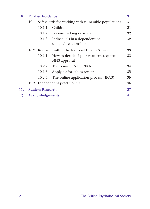| 10. | <b>Further Guidance</b> |                                                         |                                                         |    |  |
|-----|-------------------------|---------------------------------------------------------|---------------------------------------------------------|----|--|
|     |                         | 10.1 Safeguards for working with vulnerable populations |                                                         |    |  |
|     |                         | 10.1.1                                                  | Children                                                | 31 |  |
|     |                         |                                                         | 10.1.2 Persons lacking capacity                         | 32 |  |
|     |                         | 10.1.3                                                  | Individuals in a dependent or<br>unequal relationship   | 32 |  |
|     |                         | 10.2 Research within the National Health Service        |                                                         |    |  |
|     |                         | 10.2.1                                                  | How to decide if your research requires<br>NHS approval | 33 |  |
|     |                         |                                                         | 10.2.2 The remit of NHS RECs                            | 34 |  |
|     |                         | 10.2.3                                                  | Applying for ethics review                              | 35 |  |
|     |                         | 10.2.4                                                  | The online application process (IRAS)                   | 35 |  |
|     |                         |                                                         | 10.3 Independent practitioners                          | 36 |  |
| 11. | <b>Student Research</b> |                                                         |                                                         |    |  |
| 12. | <b>Acknowledgements</b> |                                                         |                                                         |    |  |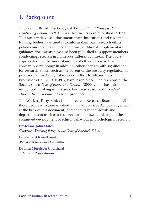### **1. Background**

The revised British Psychological Society *Ethical Principles for Conducting Research with Human Participants* were published in 1990. This was a widely used document; many institutions and research funding bodies have used it to inform their own research ethics policies and practices. Since that time, additional supplementary guidance documents have also been published to support members conducting research in numerous different contexts. The Society appreciates that the understandings of ethics in research are constantly developing; in addition, other changes with significance for research ethics, such as the advent of the statutory regulation of professional psychological services by the Health and Care Professions Council (HCPC), have taken place. The revisions of the Society's own *Code of Ethics and Conduct* (2006, 2009) have also influenced thinking in this area. For these reasons, this *Code of Human Research Ethics* has been produced.

The Working Party, Ethics Committee and Research Board thank all those people who were involved in its creation (see Acknowledgements at the back of this document) and encourage individuals and departments to use it as a resource for their own thinking and the continued development of ethical behaviour in psychological research.

**Professor John Oates** *Convenor, Working Party on the Code of Research Ethics*

**Dr Richard Kwiatkowski** *Member of the Ethics Committee*

**Dr Lisa Morrison Coulthard** *BPS Lead Policy Advisor*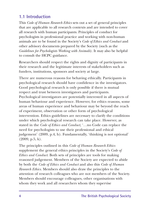#### **1.1 Introduction**

This *Code of Human Research Ethics* sets out a set of general principles that are applicable to all research contexts and are intended to cover all research with human participants. Principles of conduct for psychologists in professional practice and working with non-human animals are to be found in the Society's *Code of Ethics and Conduct* and other advisory documents prepared by the Society (such as the *Guidelines for Psychologists Working with Animals*). It may also be helpful to consult the HCPC guidance.

Researchers should respect the rights and dignity of participants in their research and the legitimate interests of stakeholders such as funders, institutions, sponsors and society at large.

There are numerous reasons for behaving ethically. Participants in psychological research should have confidence in the investigators. Good psychological research is only possible if there is mutual respect and trust between investigators and participants. Psychological investigators are potentially interested in all aspects of human behaviour and experience. However, for ethics reasons, some areas of human experience and behaviour may be beyond the reach of experiment, observation or other form of psychological intervention. Ethics guidelines are necessary to clarify the conditions under which psychological research can take place. However, as stated in the *Code of Ethics and Conduct*, '…no Code can replace the need for psychologists to use their professional and ethical judgement' (2009, p.4, h). Fundamentally, 'thinking is not optional'  $(2009, p.5, k).$ 

The principles outlined in this *Code of Human Research Ethics* supplement the general ethics principles in the Society's *Code of Ethics and Conduct*. Both sets of principles are tools for making reasoned judgement. Members of the Society are expected to abide by both the *Code of Ethics and Conduct* and also this *Code of Human Research Ethics*. Members should also draw the principles to the attention of research colleagues who are not members of the Society. Members should encourage colleagues, other organisations with whom they work and all researchers whom they supervise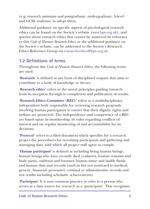(e.g. research assistants and postgraduate, undergraduate, A-level and GCSE students) to adopt them.

Additional guidance on specific aspects of psychological research ethics can be found on the Society's website (www.bps.org.uk), and queries about research ethics that cannot be answered by reference to this *Code of Human Research Ethics* or the additional guidance on the Society's website, can be addressed to the Society's Research Ethics Reference Group via research-ethics@bps.org.uk.

### **1.2 Definitions of terms**

Throughout this *Code of Human Research Ethics*, the following terms are used:

'**Research**' is defined as any form of disciplined enquiry that aims to contribute to a body of knowledge or theory.

'**Research ethics**' refers to the moral principles guiding research from its inception through to completion and publication of results.

'**Research Ethics Committee (REC)**' refers to a multidisciplinary, independent body responsible for reviewing research proposals involving human participants to ensure that their dignity, rights and welfare are protected. The independence and competence of a REC are based upon its membership, its rules regarding conflicts of interest and on regular monitoring of and accountability for its decisions.

'**Protocol**' refers to a filed document which specifies for a research project the procedures for recruiting participants and gathering and managing data, with which all project staff agree to comply.

'**Human participant'** is defined as including living human beings, human beings who have recently died (cadavers, human remains and body parts), embryos and foetuses, human tissue and bodily fluids and human data and records (such as but not restricted to medical, genetic, financial, personnel, criminal or administrative records and test results including scholastic achievements).

'**Participant**' It is now common practice to refer to a person who serves as a data source for research as a 'participant'. This recognises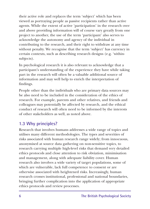their active role and replaces the term 'subject' which has been viewed as portraying people as passive recipients rather than active agents. While the extent of active 'participation' in the research over and above providing information will of course vary greatly from one project to another, the use of the term 'participant' also serves to acknowledge the autonomy and agency of the individual in contributing to the research, and their right to withdraw at any time without penalty. We recognise that the term 'subject' has currency in certain contexts, such as describing research designs (e.g. 'withinsubjects).

In psychological research it is also relevant to acknowledge that a participant's understanding of the experience they have while taking part in the research will often be a valuable additional source of information and may well help to enrich the interpretation of findings.

People other than the individuals who are primary data sources may be also need to be included in the consideration of the ethics of research. For example, parents and other relatives, and friends and colleagues may potentially be affected by research, and the ethical conduct of research will often need to be informed by the interests of other stakeholders as well, as noted above.

#### **1.3 Why principles?**

Research that involves humans addresses a wide range of topics and utilises many different methodologies. The types and severities of risks associated with human research range widely; from innocuous, anonymised at source data gathering on non-sensitive topics, to research carrying multiple high-level risks that demand very detailed ethics protocols and close attention to risk obviation, minimisation and management, along with adequate liability cover. Human research also involves a wide variety of target populations, some of which are vulnerable, lack full competence to consent or are otherwise associated with heightened risks. Increasingly, human research crosses institutional, professional and national boundaries, bringing further complication into the application of appropriate ethics protocols and review processes.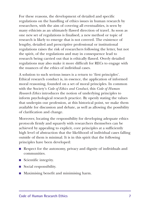For these reasons, the development of detailed and specific regulations on the handling of ethics issues in human research by researchers, with the aim of covering all eventualities, is seen by many ethicists as an ultimately flawed direction of travel. As soon as one new set of regulations is finalised, a new method or topic of research is likely to emerge that is not covered. The existence of lengthy, detailed and prescriptive professional or institutional regulations raises the risk of researchers following the letter, but not the spirit, of the regulations and may in consequence lead to research being carried out that is ethically flawed. Overly detailed regulations may also make it more difficult for RECs to engage with the nuances of the ethics of individual cases.

A solution to such serious issues is a return to 'first principles'. Ethical research conduct is, in essence, the application of informed moral reasoning, founded on a set of moral principles. In common with the Society's *Code of Ethics and Conduct*, this *Code of Human Research Ethics* introduces the notion of underlying principles to inform psychological research practice. By openly stating the values that underpin our profession, at this historical point, we make them available for discussion and debate, as well as allowing the possibility of clarification and change.

Moreover, locating the responsibility for developing adequate ethics protocols firmly and squarely with researchers themselves can be achieved by appealing to explicit, core principles at a sufficiently high level of abstraction that the likelihood of individual cases falling outside of them is minimal. It is in this spirit that the following principles have been developed:

- Respect for the autonomy, privacy and dignity of individuals and communities.
- $\blacksquare$  Scientific integrity.
- $\blacksquare$  Social responsibility.
- Maximising benefit and minimising harm.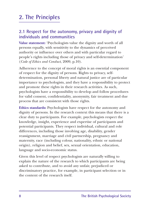## **2. The Principles**

#### **2.1 Respect for the autonomy, privacy and dignity of individuals and communities**

**Value statement:** 'Psychologists value the dignity and worth of all persons equally, with sensitivity to the dynamics of perceived authority or influence over others and with particular regard to people's rights including those of privacy and self-determination' (*Code of Ethics and Conduct*, 2009, p.10).

Adherence to the concept of moral rights is an essential component of respect for the dignity of persons. Rights to privacy, selfdetermination, personal liberty and natural justice are of particular importance to psychologists, and they have a responsibility to protect and promote these rights in their research activities. As such, psychologists have a responsibility to develop and follow procedures for valid consent, confidentiality, anonymity, fair treatment and due process that are consistent with those rights.

**Ethics standards:** Psychologists have respect for the autonomy and dignity of persons. In the research context this means that there is a clear duty to participants. For example, psychologists respect the knowledge, insight, experience and expertise of participants and potential participants. They respect individual, cultural and role differences, including those involving age, disability, gender reassignment, marriage and civil partnership, pregnancy and maternity, race (including colour, nationality, ethnic or national origin), religion and belief, sex, sexual orientation, education, language and socio-economic status.

Given this level of respect psychologists are naturally willing to explain the nature of the research to which participants are being asked to contribute, and to avoid any unfair, prejudiced or discriminatory practice, for example, in participant selection or in the content of the research itself.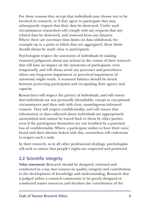For these reasons they accept that individuals may choose not to be involved in research, or if they agree to participate they may subsequently request that their data be destroyed. Under such circumstances researchers will comply with any requests that any related data be destroyed, and removed from any datasets. Where there are necessary time limits on data withdrawal, for example up to a point at which data are aggregated, these limits should always be made clear to participants.

Psychologists respect the autonomy of individuals by making reasoned judgments about any actions in the course of their research that will have an impact on the autonomy of participants, even temporarily, and will always avoid any processes and procedures where any long-term impairment or perceived impairment of autonomy might result. A reasoned balance should be struck between protecting participants and recognising their agency and capacity.

Researchers will respect the privacy of individuals, and will ensure that individuals are not personally identifiable, except in exceptional circumstances and then only with clear, unambiguous informed consent. They will respect confidentiality, and will ensure that information or data collected about individuals are appropriately anonymised and cannot be traced back to them by other parties, even if the participants themselves are not troubled by a potential loss of confidentiality. Where a participant wishes to have their voice heard and their identity linked with this, researchers will endeavour to respect such a wish.

In their research, as in all other professional dealings, psychologists will seek to ensure that people's rights are respected and protected.

#### **2.2 Scientific integrity**

**Value statement:** Research should be designed, reviewed and conducted in a way that ensures its quality, integrity and contribution to the development of knowledge and understanding. Research that is judged within a research community to be poorly designed or conducted wastes resources and devalues the contribution of the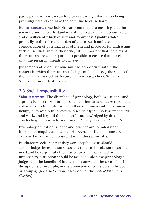participants. At worst it can lead to misleading information being promulgated and can have the potential to cause harm.

**Ethics standards:** Psychologists are committed to ensuring that the scientific and scholarly standards of their research are accountable and of sufficiently high quality and robustness. Quality relates primarily to the scientific design of the research and the consideration of potential risks of harm and protocols for addressing such difficulties (should they arise). It is important that the aims of the research are as transparent as possible to ensure that it is clear what the research intends to achieve.

Judgements of scientific value must be appropriate within the context in which the research is being conducted (e.g. the status of the researcher – student, lecturer, senior researcher). See also Section 11 on student research.

#### **2.3 Social responsibility**

**Value statement:** The discipline of psychology, both as a science and a profession, exists within the context of human society. Accordingly, a shared collective duty for the welfare of human and non-human beings, both within the societies in which psychology researchers live and work, and beyond them, must be acknowledged by those conducting the research (see also the *Code of Ethics and Conduct*).

Psychology education, science and practice are founded upon freedom of enquiry and debate. However, this freedom must be exercised in a manner consistent with ethics principles.

In whatever social context they work, psychologists should acknowledge the evolution of social structures in relation to societal need and be respectful of such structures. Unwarranted or unnecessary disruption should be avoided unless the psychologist judges that the benefits of intervention outweigh the costs of such disruption (for example, in the protection of vulnerable individuals or groups); (see also Section 1: Respect, of the *Code of Ethics and Conduct*).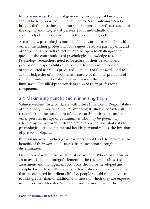**Ethics standards:** The aim of generating psychological knowledge should be to support beneficial outcomes. Such outcomes can be broadly defined as those that not only support and reflect respect for the dignity and integrity of persons (both individually and collectively) but also contribute to the 'common good'.

Accordingly, psychologists must be able to work in partnership with others (including professional colleagues, research participants, and other persons); be self-reflective; and be open to challenges that question the contributions of psychological knowledge to society. Psychology researchers need to be aware of their personal and professional responsibilities, to be alert to the possible consequences of unexpected as well as predicted outcomes of their work, and to acknowledge the often problematic nature of the interpretation of research findings. They should always work within the limitDavid.Hemsill@bpshelpdesk.org.uks of their professional competence.

### **2.4 Maximising benefit and minimising harm**

**Value statement:** In accordance with Ethics Principle 3: Responsibility of the *Code of Ethics and Conduct*, psychologists should consider all research from the standpoint of the research participants, and any other persons, groups or communities who may be potentially affected by the research, with the aim of avoiding potential risks to psychological well-being, mental health, personal values, the invasion of privacy or dignity.

**Ethics standards:** Psychology researchers should seek to maximise the benefits of their work at all stages, from inception through to dissemination.

Harm to research participants must be avoided. Where risks arise as an unavoidable and integral element of the research, robust risk assessment and management protocols should be developed and complied with. Normally, the risk of harm should be no greater than that encountered in ordinary life, i.e. people should not be exposed to risks greater than or additional to those to which they are exposed in their normal lifestyles. Where a tension arises between the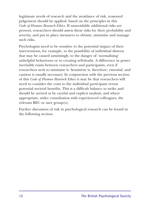legitimate needs of research and the avoidance of risk, reasoned judgement should be applied, based on the principles in this *Code of Human Research Ethics*. If unavoidable additional risks are present, researchers should assess these risks for their probability and severity, and put in place measures to obviate, minimise and manage such risks.

Psychologists need to be sensitive to the potential impact of their interventions, for example, to the possibility of individual distress that may be caused unwittingly, to the danger of 'normalising' unhelpful behaviours or to creating self-doubt. A difference in power inevitably exists between researchers and participants, even if researchers seek to minimise it. Sensitivity is, therefore, essential, and caution is usually necessary. In conjunction with the previous section of this *Code of Human Research Ethics* it may be that researchers will need to consider the costs to the individual participant versus potential societal benefits. This is a difficult balance to strike and should be arrived at by careful and explicit analysis, and where appropriate, wider consultation with experienced colleagues, the relevant REC or user group(s).

Further discussion of risk in psychological research can be found in the following section.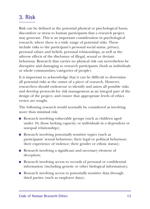### **3. Risk**

Risk can be defined as the potential physical or psychological harm, discomfort or stress to human participants that a research project may generate. This is an important consideration in psychological research, where there is a wide range of potential risks. These include risks to the participant's personal social status, privacy, personal values and beliefs, personal relationships, as well as the adverse effects of the disclosure of illegal, sexual or deviant behaviour. Research that carries no physical risk can nevertheless be disruptive and damaging to research participants (both as individuals or whole communities/categories of people).

It is important to acknowledge that it can be difficult to determine all potential risks at the outset of a piece of research. However, researchers should endeavour to identify and assess all possible risks and develop protocols for risk management as an integral part of the design of the project, and ensure that appropriate levels of ethics review are sought.

The following research would normally be considered as involving more than minimal risk:

- **Research involving vulnerable groups (such as children aged)** under 16; those lacking capacity; or individuals in a dependent or unequal relationship);
- $\blacksquare$  Research involving potentially sensitive topics (such as participants' sexual behaviour; their legal or political behaviour; their experience of violence; their gender or ethnic status);
- **Research involving a significant and necessary element of** deception;
- **Research involving access to records of personal or confidential** information (including genetic or other biological information);
- Research involving access to potentially sensitive data through third parties (such as employee data);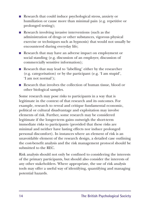- Research that could induce psychological stress, anxiety or humiliation or cause more than minimal pain (e.g. repetitive or prolonged testing);
- $\blacksquare$  Research involving invasive interventions (such as the administration of drugs or other substances, vigorous physical exercise or techniques such as hypnosis) that would not usually be encountered during everyday life;
- Research that may have an adverse impact on employment or social standing (e.g. discussion of an employer, discussion of commercially sensitive information);
- Research that may lead to 'labelling' either by the researcher (e.g. categorisation) or by the participant (e.g. 'I am stupid', 'I am not normal');
- n Research that involves the collection of human tissue, blood or other biological samples.

Some research may pose risks to participants in a way that is legitimate in the context of that research and its outcomes. For example, research to reveal and critique fundamental economic, political or cultural disadvantage and exploitation may involve elements of risk. Further, some research may be considered legitimate if the longer-term gains outweigh the short-term immediate risks to participants (provided that these risks are minimal and neither have lasting effects nor induce prolonged personal discomfort). In instances where an element of risk is an unavoidable element of the research design, a detailed case outlining the cost-benefit analysis and the risk management protocol should be submitted to the REC.

Risk analysis should not only be confined to considering the interests of the primary participants, but should also consider the interests of any other stakeholders. Where appropriate, the use of risk analysis tools may offer a useful way of identifying, quantifying and managing potential hazards.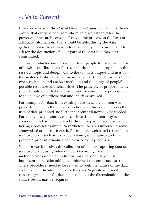## **4. Valid Consent**

In accordance with the *Code of Ethics and Conduct*, researchers should ensure that every person from whom data are gathered for the purposes of research consents freely to the process on the basis of adequate information. They should be able, during the data gathering phase, freely to withdraw or modify their consent and to ask for the destruction of all or part of the data that they have contributed.

The way in which consent is sought from people to participate in or otherwise contribute data for research should be appropriate to the research topic and design, and to the ultimate outputs and uses of the analyses. It should recognise in particular the wide variety of data types, collection and analysis methods, and the range of people's possible responses and sensitivities. The principle of proportionality should apply, such that the procedures for consent are proportional to the nature of participation and the risks involved.

For example, for data from existing datasets where consent was properly gained in the initial collection and this consent covers the uses of data proposed, no further consent will normally be needed. For anonymised-at-source, non-sensitive data, consent may be considered to have been given by the act of participation or by ticking a box, for example. Nevertheless, the risks involved in some anonymised-at-source research, for example, web-based research on sensitive topics such as sexual behaviours, will require carefully prepared prior information and clear consent processes.

When research involves the collection of identity capturing data on sensitive topics, using video or audio recording, or other methodologies where an individual may be identifiable, it is important to consider additional informed consent procedures. These procedures need to be related to both the nature of the data collected and the ultimate use of the data. Separate informed consent agreements for data collection and the dissemination of the study's results may be required.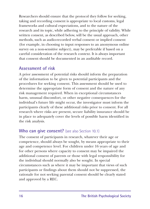Researchers should ensure that the protocol they follow for seeking, taking and recording consent is appropriate to local customs, legal frameworks and cultural expectations, and to the nature of the research and its topic, while adhering to the principle of validity. While written consent, as described below, will be the usual approach, other methods, such as audio-recorded verbal consent or implied consent (for example, in choosing to input responses to an anonymous online survey on a non-sensitive subject), may be preferable if based on a careful consideration of the research context. It is always important that consent should be documented in an auditable record.

#### **Assessment of risk**

A prior assessment of potential risks should inform the preparation of the information to be given to potential participants and the procedures for seeking consent. This assessment should be used to determine the appropriate form of consent and the nature of any risk management required. When in exceptional circumstances harm, unusual discomfort, or other negative consequences for the individual's future life might occur, the investigator must inform the participants clearly of these additional risks prior to consent. For all research where risks are present, secure liability insurance should be in place to adequately cover the levels of possible harm identified in the risk analysis.

#### **Who can give consent?** (see also Section 10.1)

The consent of participants in research, whatever their age or competence, should always be sought, by means appropriate to their age and competence level. For children under 16 years of age and for other persons where capacity to consent may be impaired the additional consent of parents or those with legal responsibility for the individual should normally also be sought. In special circumstances such as where it may be important that views of such participants or findings about them should not be suppressed, the rationale for not seeking parental consent should be clearly stated and approved by a REC.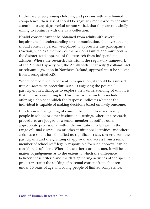In the case of very young children, and persons with very limited competence, their assent should be regularly monitored by sensitive attention to any signs, verbal or non-verbal, that they are not wholly willing to continue with the data collection.

If valid consent cannot be obtained from adults with severe impairments in understanding or communication, the investigator should consult a person well-placed to appreciate the participant's reaction, such as a member of the person's family, and must obtain the disinterested approval of the research from independent advisors. Where the research falls within the regulatory framework of the Mental Capacity Act, the Adults with Incapacity (Scotland) Act or relevant legislation in Northern Ireland, approval must be sought from a recognised REC.

Where competence to consent is in question, it should be assessed using a systematic procedure such as engaging the potential participant in a dialogue to explore their understanding of what it is that they are consenting to. This process may usefully include offering a choice to which the response indicates whether the individual is capable of making decisions based on likely outcome.

In relation to the gaining of consent from children and young people in school or other institutional settings, where the research procedures are judged by a senior member of staff or other appropriate professional within the institution to fall within the range of usual curriculum or other institutional activities, and where a risk assessment has identified no significant risks, consent from the participants and the granting of approval and access from a senior member of school staff legally responsible for such approval can be considered sufficient. Where these criteria are not met, it will be a matter of judgement as to the extent to which the difference between these criteria and the data gathering activities of the specific project warrants the seeking of parental consent from children under 16 years of age and young people of limited competence.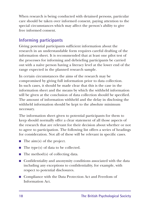When research is being conducted with detained persons, particular care should be taken over informed consent, paying attention to the special circumstances which may affect the person's ability to give free informed consent.

### **Informing participants**

Giving potential participants sufficient information about the research in an understandable form requires careful drafting of the information sheet. It is recommended that at least one pilot test of the processes for informing and debriefing participants be carried out with a naïve person having a literacy level at the lower end of the range expected in the planned research sample.

In certain circumstances the aims of the research may be compromised by giving full information prior to data collection. In such cases, it should be made clear that this is the case in the information sheet and the means by which the withheld information will be given at the conclusion of data collection should be specified. The amount of information withheld and the delay in disclosing the withheld information should be kept to the absolute minimum necessary.

The information sheet given to potential participants for them to keep should normally offer a clear statement of all those aspects of the research that are relevant for their decision about whether or not to agree to participation. The following list offers a series of headings for consideration. Not all of these will be relevant in specific cases.

- $\blacksquare$  The aim(s) of the project.
- $\blacksquare$  The type(s) of data to be collected.
- $\blacksquare$  The method(s) of collecting data.
- $\blacksquare$  Confidentiality and anonymity conditions associated with the data including any exceptions to confidentiality, for example, with respect to potential disclosures.
- Compliance with the Data Protection Act and Freedom of Information Act.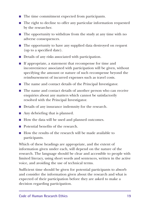- $\blacksquare$  The time commitment expected from participants.
- $\blacksquare$  The right to decline to offer any particular information requested by the researcher.
- $\blacksquare$  The opportunity to withdraw from the study at any time with no adverse consequences.
- $\blacksquare$  The opportunity to have any supplied data destroyed on request (up to a specified date).
- $\blacksquare$  Details of any risks associated with participation.
- $\blacksquare$  If appropriate, a statement that recompense for time and inconvenience associated with participation will be given, without specifying the amount or nature of such recompense beyond the reimbursement of incurred expenses such as travel costs.
- $\blacksquare$  The name and contact details of the Principal Investigator.
- $\blacksquare$  The name and contact details of another person who can receive enquiries about any matters which cannot be satisfactorily resolved with the Principal Investigator.
- Details of any insurance indemnity for the research.
- $\blacksquare$  Any debriefing that is planned.
- How the data will be used and planned outcomes.
- Potential benefits of the research.
- How the results of the research will be made available to participants.

Which of these headings are appropriate, and the extent of information given under each, will depend on the nature of the research. The language should be clear and accessible to people with limited literacy, using short words and sentences, written in the active voice, and avoiding the use of technical terms.

Sufficient time should be given for potential participants to absorb and consider the information given about the research and what is expected of their participation before they are asked to make a decision regarding participation.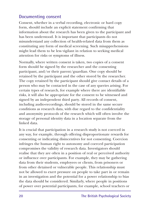#### **Documenting consent**

Consent, whether in a verbal recording, electronic or hard copy form, should include an explicit statement confirming that information about the research has been given to the participant and has been understood. It is important that participants do not misunderstand any collection of health-related data from them as constituting any form of medical screening. Such misapprehensions might lead them to be less vigilant in relation to seeking medical attention for risks or symptoms of illness.

Normally, where written consent is taken, two copies of a consent form should be signed by the researcher and the consenting participant, and/or their parent/guardian. One copy should be retained by the participant and the other stored by the researcher. The copy retained by the participant should give contact details of a person who may be contacted in the case of any queries arising. For certain types of research, for example where there are identifiable risks, it will also be appropriate for the consent to be witnessed and signed by an independent third party. All records of consent, including audio-recordings, should be stored in the same secure conditions as research data, with due regard to the confidentiality and anonymity protocols of the research which will often involve the storage of personal identity data in a location separate from the linked data.

It is crucial that participation in a research study is not coerced in any way, for example, through offering disproportionate rewards for consenting or indicating disincentives for not consenting. Coercion infringes the human right to autonomy and coerced participation compromises the validity of research data. Investigators should realise that they are often in a position of real or perceived authority or influence over participants. For example, they may be gathering data from their students, employees or clients, from prisoners or from other detained or vulnerable people. This relationship must not be allowed to exert pressure on people to take part in or remain in an investigation and the potential for a power relationship to bias the data should be considered. Similarly, where people in positions of power over potential participants, for example, school teachers or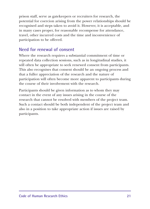prison staff, serve as gatekeepers or recruiters for research, the potential for coercion arising from the power relationships should be recognised and steps taken to avoid it. However, it is acceptable, and in many cases proper, for reasonable recompense for attendance, travel, other incurred costs and the time and inconvenience of participation to be offered.

#### **Need for renewal of consent**

Where the research requires a substantial commitment of time or repeated data collection sessions, such as in longitudinal studies, it will often be appropriate to seek renewed consent from participants. This also recognises that consent should be an ongoing process and that a fuller appreciation of the research and the nature of participation will often become more apparent to participants during the course of their involvement with the research.

Participants should be given information as to whom they may contact in the event of any issues arising in the course of the research that cannot be resolved with members of the project team. Such a contact should be both independent of the project team and also in a position to take appropriate action if issues are raised by participants.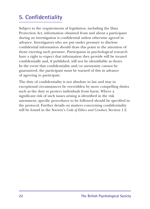## **5. Confidentiality**

Subject to the requirements of legislation, including the Data Protection Act, information obtained from and about a participant during an investigation is confidential unless otherwise agreed in advance. Investigators who are put under pressure to disclose confidential information should draw this point to the attention of those exerting such pressure. Participants in psychological research have a right to expect that information they provide will be treated confidentially and, if published, will not be identifiable as theirs. In the event that confidentiality and/or anonymity cannot be guaranteed, the participant must be warned of this in advance of agreeing to participate.

The duty of confidentiality is not absolute in law and may in exceptional circumstances be overridden by more compelling duties such as the duty to protect individuals from harm. Where a significant risk of such issues arising is identified in the risk assessment, specific procedures to be followed should be specified in the protocol. Further details on matters concerning confidentiality will be found in the Society's *Code of Ethics and Conduct*, Section 1.2.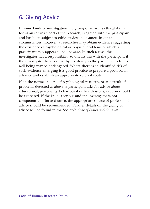## **6. Giving Advice**

In some kinds of investigation the giving of advice is ethical if this forms an intrinsic part of the research, is agreed with the participant and has been subject to ethics review in advance. In other circumstances, however, a researcher may obtain evidence suggesting the existence of psychological or physical problems of which a participant may appear to be unaware. In such a case, the investigator has a responsibility to discuss this with the participant if the investigator believes that by not doing so the participant's future well-being may be endangered. Where there is an identified risk of such evidence emerging it is good practice to prepare a protocol in advance and establish an appropriate referral route.

If, in the normal course of psychological research, or as a result of problems detected as above, a participant asks for advice about educational, personality, behavioural or health issues, caution should be exercised. If the issue is serious and the investigator is not competent to offer assistance, the appropriate source of professional advice should be recommended. Further details on the giving of advice will be found in the Society's *Code of Ethics and Conduct*.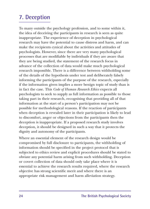### **7. Deception**

To many outside the psychology profession, and to some within it, the idea of deceiving the participants in research is seen as quite inappropriate. The experience of deception in psychological research may have the potential to cause distress and harm, and can make the recipients cynical about the activities and attitudes of psychologists. However, since there are very many psychological processes that are modifiable by individuals if they are aware that they are being studied, the statement of the research focus in advance of the collection of data would make much psychological research impossible. There is a difference between withholding some of the details of the hypothesis under test and deliberately falsely informing the participants of the purpose of the research, especially if the information given implies a more benign topic of study than is in fact the case. This *Code of Human Research Ethics* expects all psychologists to seek to supply as full information as possible to those taking part in their research, recognising that providing all of that information at the start of a person's participation may not be possible for methodological reasons. If the reaction of participants when deception is revealed later in their participation is likely to lead to discomfort, anger or objections from the participants then the deception is inappropriate. If a proposed research study involves deception, it should be designed in such a way that it protects the dignity and autonomy of the participants.

Where an essential element of the research design would be compromised by full disclosure to participants, the withholding of information should be specified in the project protocol that is subjected to ethics review and explicit procedures should be stated to obviate any potential harm arising from such withholding. Deception or covert collection of data should only take place where it is essential to achieve the research results required, where the research objective has strong scientific merit and where there is an appropriate risk management and harm alleviation strategy.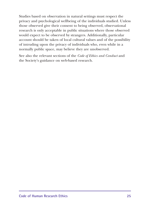Studies based on observation in natural settings must respect the privacy and psychological wellbeing of the individuals studied. Unless those observed give their consent to being observed, observational research is only acceptable in public situations where those observed would expect to be observed by strangers. Additionally, particular account should be taken of local cultural values and of the possibility of intruding upon the privacy of individuals who, even while in a normally public space, may believe they are unobserved.

See also the relevant sections of the *Code of Ethics and Conduct* and the Society's guidance on web-based research.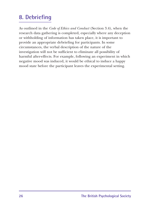### **8. Debriefing**

As outlined in the *Code of Ethics and Conduct* (Section 3.4), when the research data gathering is completed, especially where any deception or withholding of information has taken place, it is important to provide an appropriate debriefing for participants. In some circumstances, the verbal description of the nature of the investigation will not be sufficient to eliminate all possibility of harmful after-effects. For example, following an experiment in which negative mood was induced, it would be ethical to induce a happy mood state before the participant leaves the experimental setting.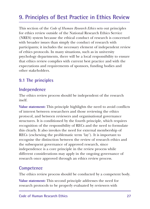## **9. Principles of Best Practice in Ethics Review**

This section of the *Code of Human Research Ethics* sets out principles for ethics review outside of the National Research Ethics Service (NRES) system because the ethical conduct of research is concerned with broader issues than simply the conduct of research with participants; it includes the necessary element of independent review of ethics protocols. In many situations, such as in university psychology departments, there will be a local responsibility to ensure that ethics review complies with current best practice and with the expectations and requirements of sponsors, funding bodies and other stakeholders.

### **9.1 The principles**

#### **Independence**

The ethics review process should be independent of the research itself.

**Value statement:** This principle highlights the need to avoid conflicts of interest between researchers and those reviewing the ethics protocol, and between reviewers and organisational governance structures. It is conditioned by the fourth principle, which requires recognition of the responsibility of RECs and the need to formulate this clearly. It also invokes the need for external membership of RECs (eschewing the problematic term 'lay'). It is important to recognise the distinction between the review of research ethics and the subsequent governance of approved research, since independence is a core principle in the review process while different considerations may apply in the ongoing governance of research once approved through an ethics review process.

#### **Competence**

The ethics review process should be conducted by a competent body.

**Value statement:** This second principle addresses the need for research protocols to be properly evaluated by reviewers with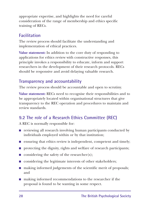appropriate expertise, and highlights the need for careful consideration of the range of membership and ethics specific training of RECs.

#### **Facilitation**

The review process should facilitate the understanding and implementation of ethical practices.

**Value statement:** In addition to the core duty of responding to applications for ethics review with constructive responses, this principle invokes a responsibility to educate, inform and support researchers in the development of their research protocols. RECs should be responsive and avoid delaying valuable research.

### **Transparency and accountability**

The review process should be accountable and open to scrutiny.

**Value statement:** RECs need to recognise their responsibilities and to be appropriately located within organisational structures that give transparency to the REC operation and procedures to maintain and review standards.

### **9.2 The role of a Research Ethics Committee (REC)**

A REC is normally responsible for:

- $\blacksquare$  reviewing all research involving human participants conducted by individuals employed within or by that institution;
- $\blacksquare$  ensuring that ethics review is independent, competent and timely;
- $\blacksquare$  protecting the dignity, rights and welfare of research participants;
- $\Box$  considering the safety of the researcher(s);
- n considering the legitimate interests of other stakeholders;
- $\blacksquare$  making informed judgements of the scientific merit of proposals; and
- making informed recommendations to the researcher if the proposal is found to be wanting in some respect.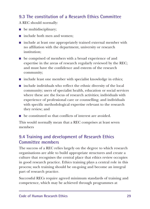### **9.3 The constitution of a Research Ethics Committee**

A REC should normally:

- $\blacksquare$  be multidisciplinary;
- $\blacksquare$  include both men and women:
- $\blacksquare$  include at least one appropriately trained external member with no affiliation with the department, university or research institution;
- $\blacksquare$  be comprised of members with a broad experience of and expertise in the areas of research regularly reviewed by the REC; and must have the confidence and esteem of the research community;
- $\blacksquare$  include least one member with specialist knowledge in ethics;
- $\blacksquare$  include individuals who reflect the ethnic diversity of the local community; users of specialist health, education or social services where these are the focus of research activities; individuals with experience of professional care or counselling; and individuals with specific methodological expertise relevant to the research they review; and
- $\blacksquare$  be constituted so that conflicts of interest are avoided.

This would normally mean that a REC comprises at least seven members

#### **9.4 Training and development of Research Ethics Committee members**

The success of a REC relies largely on the degree to which research organisations are able to build appropriate structures and create a culture that recognises the central place that ethics review occupies in good research practice. Ethics training plays a central role in this process; such training should be on-going and become an integral part of research practice.

Successful RECs require agreed minimum standards of training and competence, which may be achieved through programmes at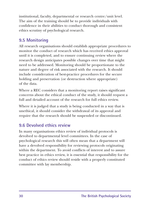institutional, faculty, departmental or research centre/unit level. The aim of the training should be to provide individuals with confidence in their abilities to conduct thorough and consistent ethics scrutiny of psychological research.

#### **9.5 Monitoring**

All research organisations should establish appropriate procedures to monitor the conduct of research which has received ethics approval until it is completed, and to ensure continuing review where the research design anticipates possible changes over time that might need to be addressed. Monitoring should be proportionate to the nature and degree of risk associated with the research. It should include consideration of best-practice procedures for the secure holding and preservation (or destruction where appropriate) of the data.

Where a REC considers that a monitoring report raises significant concerns about the ethical conduct of the study, it should request a full and detailed account of the research for full ethics review.

Where it is judged that a study is being conducted in a way that is unethical, it should consider the withdrawal of its approval and require that the research should be suspended or discontinued.

#### **9.6 Devolved ethics review**

In many organisations ethics review of individual protocols is devolved to departmental level committees. In the case of psychological research this will often mean that a department will have a devolved responsibility for reviewing protocols originating within the department. To avoid conflicts of interest and to assure best practice in ethics review, it is essential that responsibility for the conduct of ethics review should reside with a properly constituted committee with lay membership.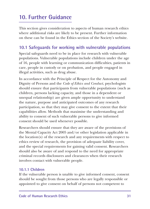## **10. Further Guidance**

This section gives consideration to aspects of human research ethics where additional risks are likely to be present. Further information on these can be found in the Ethics section of the Society's website.

#### **10.1 Safeguards for working with vulnerable populations**

Special safeguards need to be in place for research with vulnerable populations. Vulnerable populations include children under the age of 16, people with learning or communication difficulties, patients in care, people in custody or on probation, and people engaged in illegal activities, such as drug abuse.

In accordance with the Principle of Respect for the Autonomy and Dignity of Persons and the *Code of Ethics and Conduct*, psychologists should ensure that participants from vulnerable populations (such as children, persons lacking capacity, and those in a dependent or unequal relationship) are given ample opportunity to understand the nature, purpose and anticipated outcomes of any research participation, so that they may give consent to the extent that their capabilities allow. Methods that maximise the understanding and ability to consent of such vulnerable persons to give informed consent should be used whenever possible.

Researchers should ensure that they are aware of the provisions of the Mental Capacity Act 2005 and/or other legislation applicable in the location(s) of the research and any requirements with respect to ethics review of research, the provision of adequate liability cover, and the special requirements for gaining valid consent. Researchers should also be aware of and respond to the need for appropriate criminal records disclosures and clearances when their research involves contact with vulnerable people.

#### **10.1.1 Children**

If the vulnerable person is unable to give informed consent, consent should be sought from those persons who are legally responsible or appointed to give consent on behalf of persons not competent to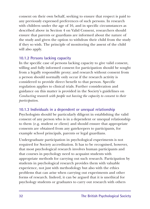consent on their own behalf, seeking to ensure that respect is paid to any previously expressed preferences of such persons. In research with children under the age of 16, and in specific circumstances as described above in Section 4 on Valid Consent, researchers should ensure that parents or guardians are informed about the nature of the study and given the option to withdraw their child from the study if they so wish. The principle of monitoring the assent of the child will also apply.

#### **10.1.2 Persons lacking capacity**

In the specific case of persons lacking capacity to give valid consent, willing and fully informed consent for participation should be sought from a legally responsible proxy; and research without consent from a person should normally only occur if the research activity is considered to provide direct benefit to that person. Specific regulation applies to clinical trials. Further consideration and guidance on this matter is provided in the Society's guidelines on *Conducting research with people not having the capacity to consent to their participation*.

#### **10.1.3 Individuals in a dependent or unequal relationship**

Psychologists should be particularly diligent in establishing the valid consent of any person who is in a dependent or unequal relationship to them (e.g. student or client) and should ensure that appropriate consents are obtained from any gatekeepers to participants, for example school principals, parents or legal guardians.

Undergraduate participation in psychological experiments is not required for Society accreditation. It has to be recognised, however, that most psychological research involves human participants and that courses in psychology need to acquaint students with appropriate methods for carrying out such research. Participation by students in psychological research provides them with valuable experience, not just with methodology but also with the ethics problems that can arise when carrying out experiments and other forms of research. Indeed, it can be argued that it is unethical for psychology students or graduates to carry out research with others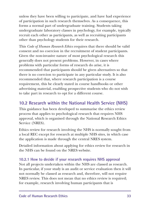unless they have been willing to participate, and have had experience of participation in such research themselves. As a consequence, this forms a normal part of undergraduate training. Students taking undergraduate laboratory classes in psychology, for example, typically recruit each other as participants, as well as recruiting participants other than psychology students for their research.

This *Code of Human Research Ethics* requires that there should be valid consent and no coercion in the recruitment of student participants. Given the non-invasive nature of most psychological research this generally does not present problems. However, in cases where problems with particular forms of research do arise, it is recommended that participants should be given alternatives so that there is no coercion to participate in any particular study. It is also recommended that, where research participation is a course requirement, this be clearly stated in course handbooks or other advertising material, enabling prospective students who do not wish to take part in research to opt for a different course.

### **10.2 Research within the National Health Service (NHS)**

This guidance has been developed to summarise the ethics review process that applies to psychological research that requires NHS approval, which is organised through the National Research Ethics Service (NRES).

Ethics review for research involving the NHS is normally sought from a local REC except for research at multiple NHS sites, in which case the application is made through the central NRES system.

Detailed information about applying for ethics review for research in the NHS can be found on the NRES website.

#### **10.2.1 How to decide if your research requires NHS approval**

Not all projects undertaken within the NHS are classed as research. In particular, if your study is an audit or service evaluation then it will not normally be classed as research and, therefore, will not require NRES review. This does not mean that no ethics review is required; for example, research involving human participants that is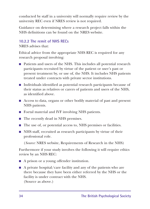conducted by staff in a university will normally require review by the university REC even if NRES review is not required.

Guidance on determining where a research project falls within the NHS definitions can be found on the NRES website.

#### **10.2.2 The remit of NHS RECs**

NRES advises that:

Ethical advice from the appropriate NHS REC is required for any research proposal involving:

- n Patients and users of the NHS. This includes all potential research participants recruited by virtue of the patient or user's past or present treatment by, or use of, the NHS. It includes NHS patients treated under contracts with private sector institutions.
- Individuals identified as potential research participants because of their status as relatives or carers of patients and users of the NHS, as identified above.
- $\blacksquare$  Access to data, organs or other bodily material of past and present NHS patients.
- Foetal material and IVF involving NHS patients.
- The recently dead in NHS premises.
- The use of, or potential access to, NHS premises or facilities.
- $\blacksquare$  NHS staff, recruited as research participants by virtue of their professional role.

(*Source:* NRES website, Requirements of Research in the NHS)

Furthermore if your study involves the following it will require ethics review by an NHS REC:

- A prison or a young offender institution.
- $\blacksquare$  A private hospital/care facility and any of the patients who are there because they have been either referred by the NHS or the facility is under contract with the NHS. (Source as above.)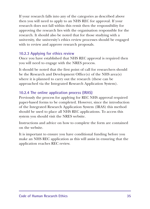If your research falls into any of the categories as described above then you will need to apply to an NHS REC for approval. If your research does not fall within this remit then the responsibility for approving the research lies with the organisation responsible for the research. It should also be noted that for those studying with a university, the university's ethics review processes should be engaged with to review and approve research proposals.

#### **10.2.3 Applying for ethics review**

Once you have established that NHS REC approval is required then you will need to engage with the NRES process.

It should be noted that the first point of call for researchers should be the Research and Development Office(s) of the NHS area(s) where it is planned to carry out the research (these can be approached via the Integrated Research Application System).

#### **10.2.4 The online application process (IRAS)**

Previously the process for applying for REC NHS approval required paper-based forms to be completed. However, since the introduction of the Integrated Research Application System (IRAS) this method should be used to place all NHS REC applications. To access this system you should visit the NRES website.

Instructions and advice on how to complete the form are contained on the website.

It is important to ensure you have conditional funding before you make an NHS REC application as this will assist in ensuring that the application reaches REC review.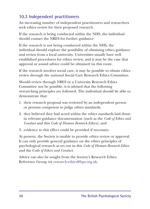### **10.3 Independent practitioners**

An increasing number of independent practitioners and researchers seek ethics review for their proposed research.

If the research is being conducted within the NHS, the individual should contact the NRES for further guidance.

If the research is not being conducted within the NHS, the individual should explore the possibility of obtaining ethics guidance and review from a local university. Universities usually have well established procedures for ethics review, and it may be the case that approval or sound advice could be obtained via this route.

If the research involves social care, it may be possible to obtain ethics review through the national Social Care Research Ethics Committee.

Should review through NRES or a University Research Ethics Committee not be possible, it is advised that the following overarching principles are followed. The individual should be able to demonstrate that:

- 1. their research proposal was reviewed by an independent person or persons competent to judge ethics standards;
- 2. they believed they had acted within the ethics standards laid down in relevant guidance documentation (such as the *Code of Ethics and Conduct* and this *Code of Human Research Ethics*); and
- 3. evidence to this effect could be provided if necessary.

At present, the Society is unable to provide ethics review or approval. It can only provide general guidance on the ethics principles of psychological research as set out in this *Code of Human Research Ethics* and the C*ode of Ethics and Conduct.*

Advice can also be sought from the Society's Research Ethics Reference Group via research-ethics@bps.org.uk.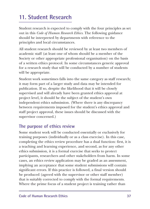## **11. Student Research**

Student research is expected to comply with the four principles as set out in this *Code of Human Research Ethics*. The following guidance should be interpreted by departments with reference to the principles and local circumstances.

All student research should be reviewed by at least two members of academic staff (at least one of whom should be a member of the Society or other appropriate professional organisation) on the basis of a written ethics protocol. In some circumstances generic approval for a research study that will be conducted by a number of students will be appropriate.

Student work sometimes falls into the same category as staff research; it may form part of a larger study and data may be intended for publication. If so, despite the likelihood that it will be closely supervised and will already have been granted ethics approval at project level, it should be the subject of the student's own independent ethics submission. (Where there is any discrepancy between requirements imposed for the student's ethics approval and staff project approval, these issues should be discussed with the supervisor concerned.)

#### **The purpose of ethics review**

Some student work will be conducted essentially or exclusively for training purposes (individually or as a class exercise). In this case, completing the ethics review procedure has a dual function: first, it is a teaching and learning experience, and second, as for any other ethics submission, it is a formal exercise that seeks to protect participants, researchers and other stakeholders from harm. In some cases, an ethics review application may be graded as an assessment, implying an acceptance that some student submissions will contain significant errors. If this practice is followed, a final version should be produced (agreed with the supervisor or other staff member) that is suitably corrected to comply with the formal requirements. Where the prime focus of a student project is training rather than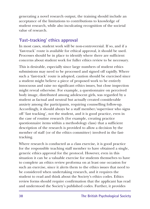generating a novel research output, the training should include an acceptance of the limitations to contributions to knowledge of student research, while also inculcating recognition of the societal value of research.

#### **'Fast-tracking' ethics approval**

In most cases, student work will be non-controversial. If so, and if a 'fast-track' route is available for ethical approval, it should be used. Processes should be in place to identify where there are sufficient concerns about student work for fuller ethics review to be necessary.

This is desirable, especially since large numbers of student ethics submissions may need to be processed and signed off rapidly. Where such a 'fast-track' route is adopted, caution should be exercised since a student might believe a piece of proposed work to be entirely innocuous and raise no significant ethics issues, but close inspection might reveal otherwise. For example, a questionnaire on perceived body image, distributed among adolescent girls, was regarded by a student as factual and neutral but actually created considerable anxiety among the participants, requiring counselling follow-up. Accordingly, it should always be a staff member/supervisor who signs off 'fast tracking', not the student, and it is good practice, even in the case of routine research (for example, creating practice questionnaire items within a methodology class) that a sufficient description of the research is provided to allow a decision by the member of staff (or of the ethics committee) involved in the fasttracking.

Where research is conducted as a class exercise, it is good practice for the responsible teaching staff member to have obtained a single, generic ethics approval for the protocol. However, even in this situation it can be a valuable exercise for students themselves to have to complete an ethics review proforma on at least one occasion for such an exercise, since it alerts them to the ethics issues that need to be considered when undertaking research, and it requires the student to read and think about the Society's ethics codes. Ethics review forms should require confirmation that the applicant has read and understood the Society's published codes. Further, it provides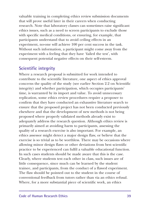valuable training in completing ethics review submission documents that will prove useful later in their careers when conducting research. Note that laboratory classes can sometimes raise significant ethics issues, such as a need to screen participants to exclude those with specific medical conditions, or ensuring, for example, that participants understand that to avoid ceiling effects in an experiment, no-one will achieve 100 per cent success in the task. Without such information, a participant might come away from the experiment with a feeling that they have 'failed the test', with consequent potential negative effects on their self-esteem.

#### **Scientific integrity**

Where a research proposal is submitted for work intended to contribute to the scientific literature, one aspect of ethics approval concerns the quality of the study (see earlier Section 2.2 on Scientific integrity) and whether participation, which occupies participants' time, is warranted by its import and value. To avoid unnecessary replication, some ethics review procedures require a proposer to confirm that they have conducted an exhaustive literature search to ensure that the proposed project has not been conducted previously elsewhere and that the development of new methods is not being proposed where properly validated methods already exist to adequately address the research question. Although ethics review is primarily aimed at avoiding harm to participants, assessing the quality of a research exercise is also important. For example, an ethics assessor might detect a major design flaw, or believe that the exercise is so trivial as to be worthless. There may be occasions where allowing minor design flaws or other deviations from best scientific practice to be experienced can fulfil a valuable educational function. In such cases students should be made aware that this is the case. Clearly, where students test each other in class, such issues are of little consequence, since much can be learned by the student trainee, and participants, from the conduct of a flawed experiment. The flaw should be pointed out to the student in the course of conventional feedback from tutors rather than via an ethics refusal. Where, for a more substantial piece of scientific work, an ethics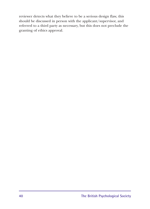reviewer detects what they believe to be a serious design flaw, this should be discussed in person with the applicant/supervisor, and referred to a third party as necessary, but this does not preclude the granting of ethics approval.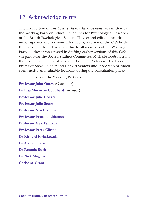### **12. Acknowledgements**

The first edition of this *Code of Human Research Ethics* was written by the Working Party on Ethical Guidelines for Psychological Research of the British Psychological Society. This second edition includes minor updates and revisions informed by a review of the *Code* by the Ethics Committee. Thanks are due to all members of the Working Party, all those who assisted in drafting earlier versions of this *Code* (in particular the Society's Ethics Committee, Michelle Dodson from the Economic and Social Research Council, Professor Alex Haslam, Professor Steve Reicher and Dr Carl Senior) and those who provided constructive and valuable feedback during the consultation phase.

The members of the Working Party are:

**Professor John Oates** (Convenor) **Dr Lisa Morrison Coulthard** (Advisor) **Professor Julie Dockrell Professor Julie Stone Professor Nigel Foreman Professor Priscilla Alderson Professor Max Velmans Professor Peter Clifton Dr Richard Kwiatkowski Dr Abigail Locke Dr Romola Bucks Dr Nick Maguire**

**Christine Grant**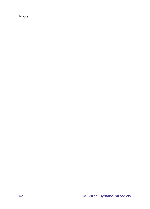Notes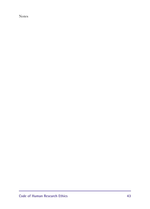Notes